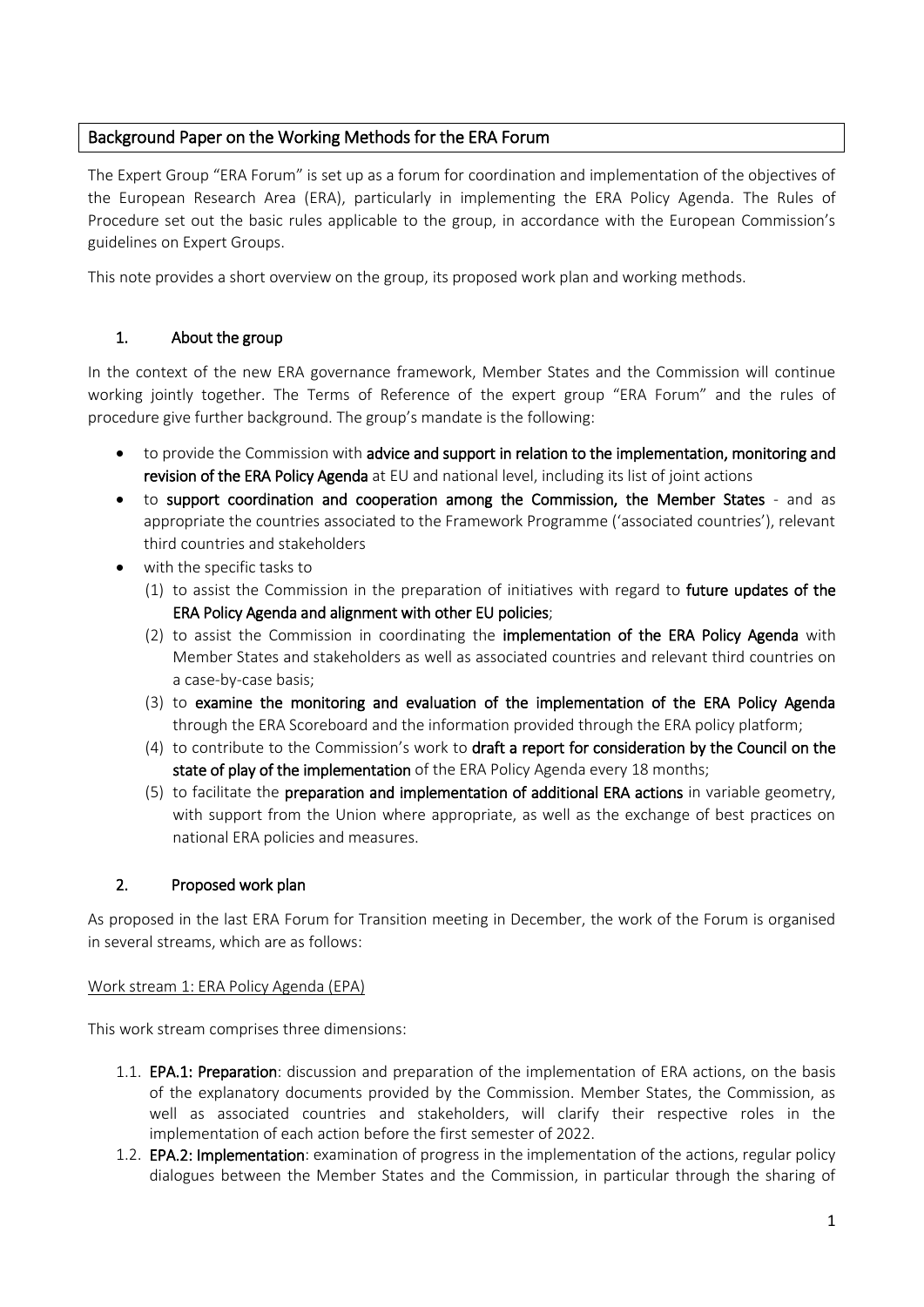# Background Paper on the Working Methods for the ERA Forum

The Expert Group "ERA Forum" is set up as a forum for coordination and implementation of the objectives of the European Research Area (ERA), particularly in implementing the ERA Policy Agenda. The Rules of Procedure set out the basic rules applicable to the group, in accordance with the European Commission's guidelines on Expert Groups.

This note provides a short overview on the group, its proposed work plan and working methods.

# 1. About the group

In the context of the new ERA governance framework, Member States and the Commission will continue working jointly together. The Terms of Reference of the expert group "ERA Forum" and the rules of procedure give further background. The group's mandate is the following:

- to provide the Commission with advice and support in relation to the implementation, monitoring and revision of the ERA Policy Agenda at EU and national level, including its list of joint actions
- to support coordination and cooperation among the Commission, the Member States and as appropriate the countries associated to the Framework Programme ('associated countries'), relevant third countries and stakeholders
- with the specific tasks to
	- (1) to assist the Commission in the preparation of initiatives with regard to future updates of the ERA Policy Agenda and alignment with other EU policies;
	- (2) to assist the Commission in coordinating the implementation of the ERA Policy Agenda with Member States and stakeholders as well as associated countries and relevant third countries on a case-by-case basis;
	- (3) to examine the monitoring and evaluation of the implementation of the ERA Policy Agenda through the ERA Scoreboard and the information provided through the ERA policy platform;
	- (4) to contribute to the Commission's work to draft a report for consideration by the Council on the state of play of the implementation of the ERA Policy Agenda every 18 months;
	- (5) to facilitate the preparation and implementation of additional ERA actions in variable geometry, with support from the Union where appropriate, as well as the exchange of best practices on national ERA policies and measures.

## 2. Proposed work plan

As proposed in the last ERA Forum for Transition meeting in December, the work of the Forum is organised in several streams, which are as follows:

### Work stream 1: ERA Policy Agenda (EPA)

This work stream comprises three dimensions:

- 1.1. **EPA.1: Preparation**: discussion and preparation of the implementation of ERA actions, on the basis of the explanatory documents provided by the Commission. Member States, the Commission, as well as associated countries and stakeholders, will clarify their respective roles in the implementation of each action before the first semester of 2022.
- 1.2. **EPA.2: Implementation**: examination of progress in the implementation of the actions, regular policy dialogues between the Member States and the Commission, in particular through the sharing of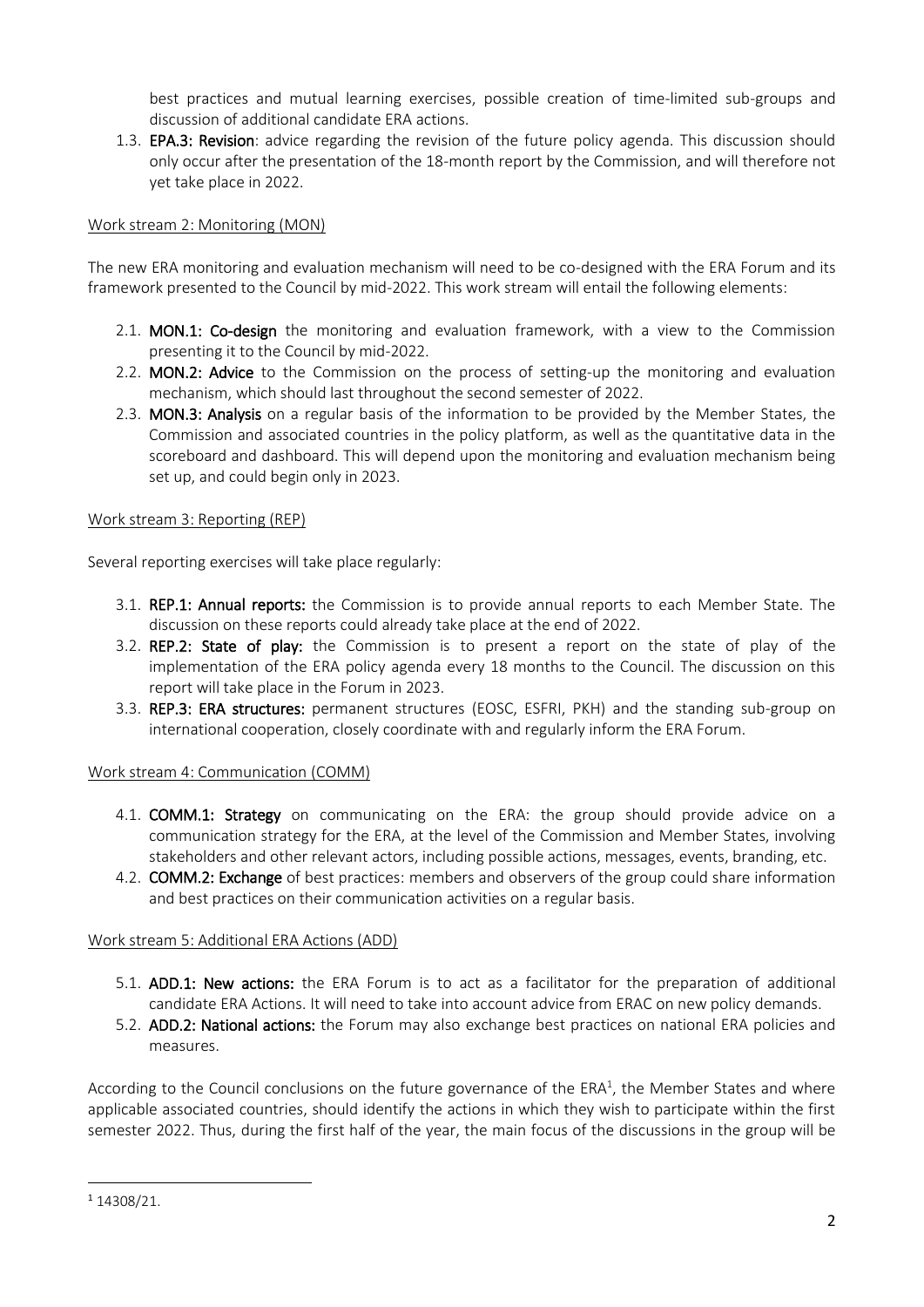best practices and mutual learning exercises, possible creation of time-limited sub-groups and discussion of additional candidate ERA actions.

1.3. EPA.3: Revision: advice regarding the revision of the future policy agenda. This discussion should only occur after the presentation of the 18-month report by the Commission, and will therefore not yet take place in 2022.

### Work stream 2: Monitoring (MON)

The new ERA monitoring and evaluation mechanism will need to be co-designed with the ERA Forum and its framework presented to the Council by mid-2022. This work stream will entail the following elements:

- 2.1. MON.1: Co-design the monitoring and evaluation framework, with a view to the Commission presenting it to the Council by mid-2022.
- 2.2. MON.2: Advice to the Commission on the process of setting-up the monitoring and evaluation mechanism, which should last throughout the second semester of 2022.
- 2.3. MON.3: Analysis on a regular basis of the information to be provided by the Member States, the Commission and associated countries in the policy platform, as well as the quantitative data in the scoreboard and dashboard. This will depend upon the monitoring and evaluation mechanism being set up, and could begin only in 2023.

### Work stream 3: Reporting (REP)

Several reporting exercises will take place regularly:

- 3.1. REP.1: Annual reports: the Commission is to provide annual reports to each Member State. The discussion on these reports could already take place at the end of 2022.
- 3.2. REP.2: State of play: the Commission is to present a report on the state of play of the implementation of the ERA policy agenda every 18 months to the Council. The discussion on this report will take place in the Forum in 2023.
- 3.3. REP.3: ERA structures: permanent structures (EOSC, ESFRI, PKH) and the standing sub-group on international cooperation, closely coordinate with and regularly inform the ERA Forum.

### Work stream 4: Communication (COMM)

- 4.1. COMM.1: Strategy on communicating on the ERA: the group should provide advice on a communication strategy for the ERA, at the level of the Commission and Member States, involving stakeholders and other relevant actors, including possible actions, messages, events, branding, etc.
- 4.2. **COMM.2: Exchange** of best practices: members and observers of the group could share information and best practices on their communication activities on a regular basis.

### Work stream 5: Additional ERA Actions (ADD)

- 5.1. ADD.1: New actions: the ERA Forum is to act as a facilitator for the preparation of additional candidate ERA Actions. It will need to take into account advice from ERAC on new policy demands.
- 5.2. ADD.2: National actions: the Forum may also exchange best practices on national ERA policies and measures.

According to the Council conclusions on the future governance of the ERA<sup>1</sup>, the Member States and where applicable associated countries, should identify the actions in which they wish to participate within the first semester 2022. Thus, during the first half of the year, the main focus of the discussions in the group will be

**.** 

<sup>1</sup> 14308/21.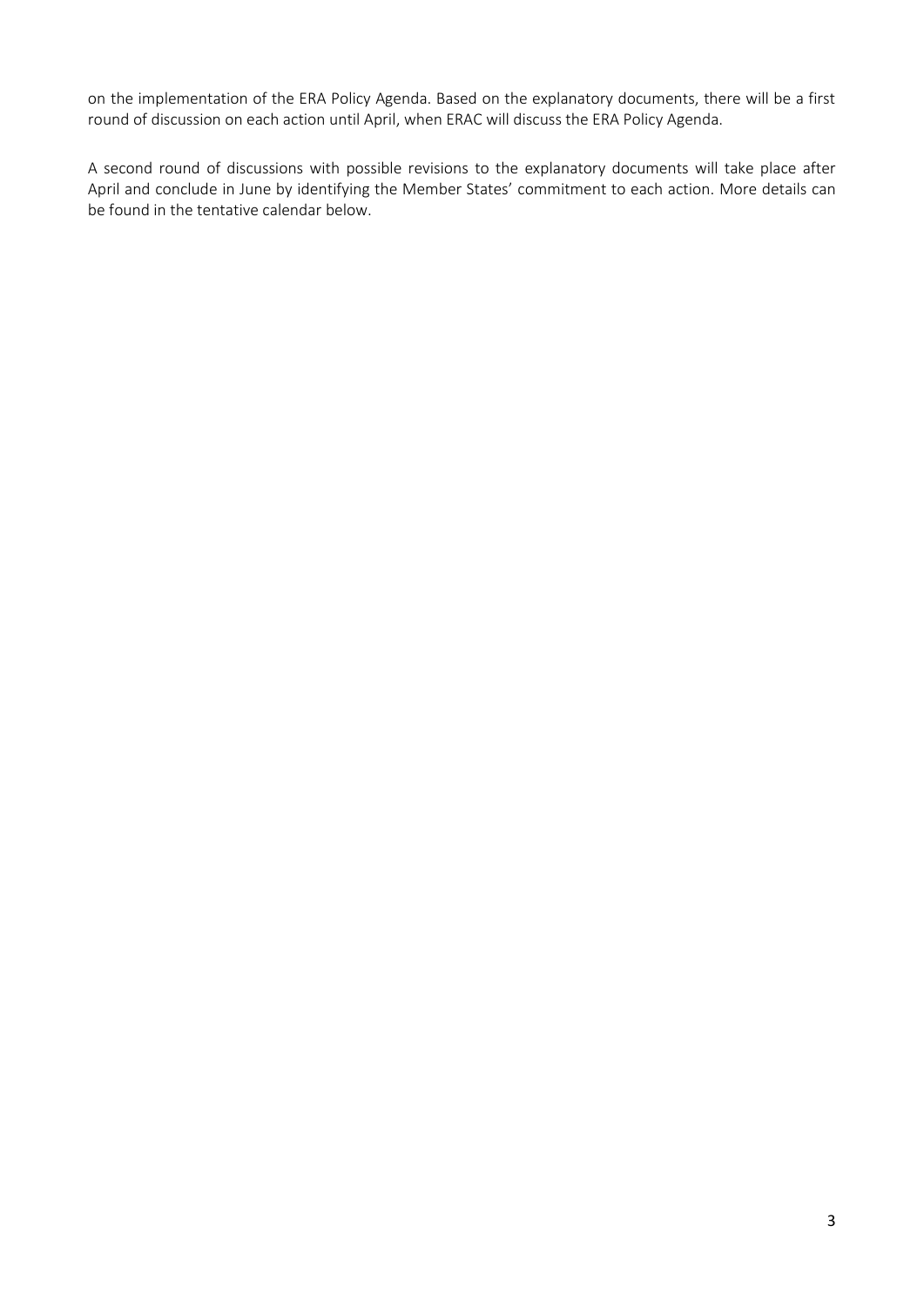on the implementation of the ERA Policy Agenda. Based on the explanatory documents, there will be a first round of discussion on each action until April, when ERAC will discuss the ERA Policy Agenda.

A second round of discussions with possible revisions to the explanatory documents will take place after April and conclude in June by identifying the Member States' commitment to each action. More details can be found in the tentative calendar below.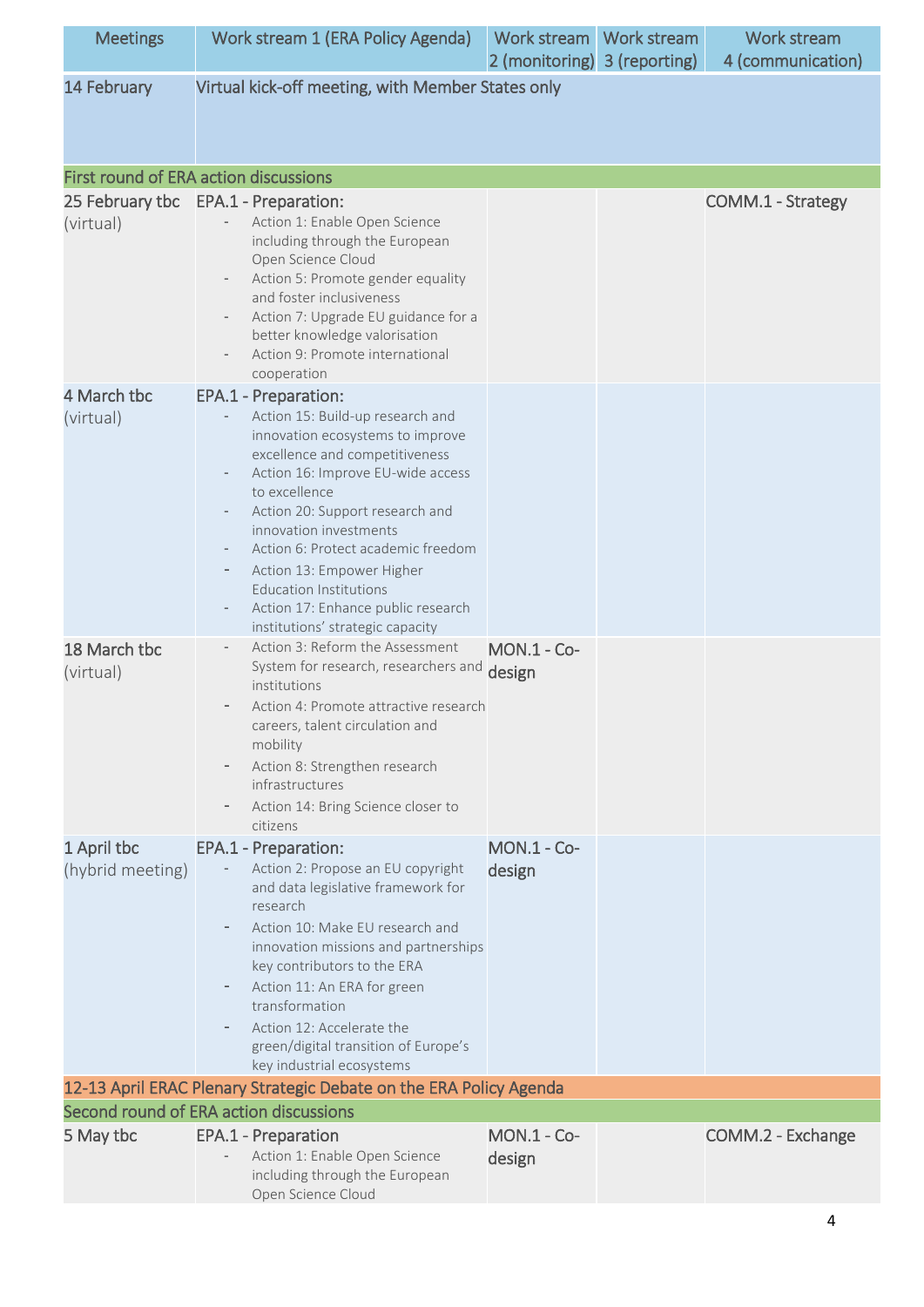| <b>Meetings</b>          | Work stream 1 (ERA Policy Agenda)                                                                                                                                                                                                                                                                                                                                                                                                                                    | Work stream<br>2 (monitoring) 3 (reporting) | Work stream | Work stream<br>4 (communication) |
|--------------------------|----------------------------------------------------------------------------------------------------------------------------------------------------------------------------------------------------------------------------------------------------------------------------------------------------------------------------------------------------------------------------------------------------------------------------------------------------------------------|---------------------------------------------|-------------|----------------------------------|
| 14 February              | Virtual kick-off meeting, with Member States only                                                                                                                                                                                                                                                                                                                                                                                                                    |                                             |             |                                  |
|                          | <b>First round of ERA action discussions</b>                                                                                                                                                                                                                                                                                                                                                                                                                         |                                             |             |                                  |
| 25 February tbc          | EPA.1 - Preparation:                                                                                                                                                                                                                                                                                                                                                                                                                                                 |                                             |             | COMM.1 - Strategy                |
| (virtual)                | Action 1: Enable Open Science<br>including through the European<br>Open Science Cloud<br>Action 5: Promote gender equality<br>and foster inclusiveness<br>Action 7: Upgrade EU guidance for a<br>better knowledge valorisation<br>Action 9: Promote international<br>cooperation                                                                                                                                                                                     |                                             |             |                                  |
| 4 March tbc<br>(virtual) | EPA.1 - Preparation:<br>Action 15: Build-up research and<br>innovation ecosystems to improve<br>excellence and competitiveness<br>Action 16: Improve EU-wide access<br>to excellence<br>Action 20: Support research and<br>innovation investments<br>Action 6: Protect academic freedom<br>Action 13: Empower Higher<br>-<br><b>Education Institutions</b><br>Action 17: Enhance public research<br>$\qquad \qquad \blacksquare$<br>institutions' strategic capacity |                                             |             |                                  |
| 18 March tbc             | Action 3: Reform the Assessment                                                                                                                                                                                                                                                                                                                                                                                                                                      | <b>MON.1 - Co-</b>                          |             |                                  |
| (virtual)                | System for research, researchers and design<br>institutions<br>Action 4: Promote attractive research<br>careers, talent circulation and<br>mobility<br>Action 8: Strengthen research<br>infrastructures<br>Action 14: Bring Science closer to<br>$\overline{\phantom{a}}$<br>citizens                                                                                                                                                                                |                                             |             |                                  |
| 1 April tbc              | EPA.1 - Preparation:                                                                                                                                                                                                                                                                                                                                                                                                                                                 | <b>MON.1 - Co-</b>                          |             |                                  |
| (hybrid meeting)         | Action 2: Propose an EU copyright<br>and data legislative framework for<br>research<br>Action 10: Make EU research and<br>innovation missions and partnerships<br>key contributors to the ERA<br>Action 11: An ERA for green<br>transformation<br>Action 12: Accelerate the<br>green/digital transition of Europe's<br>key industrial ecosystems                                                                                                                     | design                                      |             |                                  |
|                          | 12-13 April ERAC Plenary Strategic Debate on the ERA Policy Agenda                                                                                                                                                                                                                                                                                                                                                                                                   |                                             |             |                                  |
|                          | Second round of ERA action discussions                                                                                                                                                                                                                                                                                                                                                                                                                               |                                             |             |                                  |
| 5 May tbc                | EPA.1 - Preparation<br>Action 1: Enable Open Science<br>including through the European<br>Open Science Cloud                                                                                                                                                                                                                                                                                                                                                         | <b>MON.1 - Co-</b><br>design                |             | COMM.2 - Exchange                |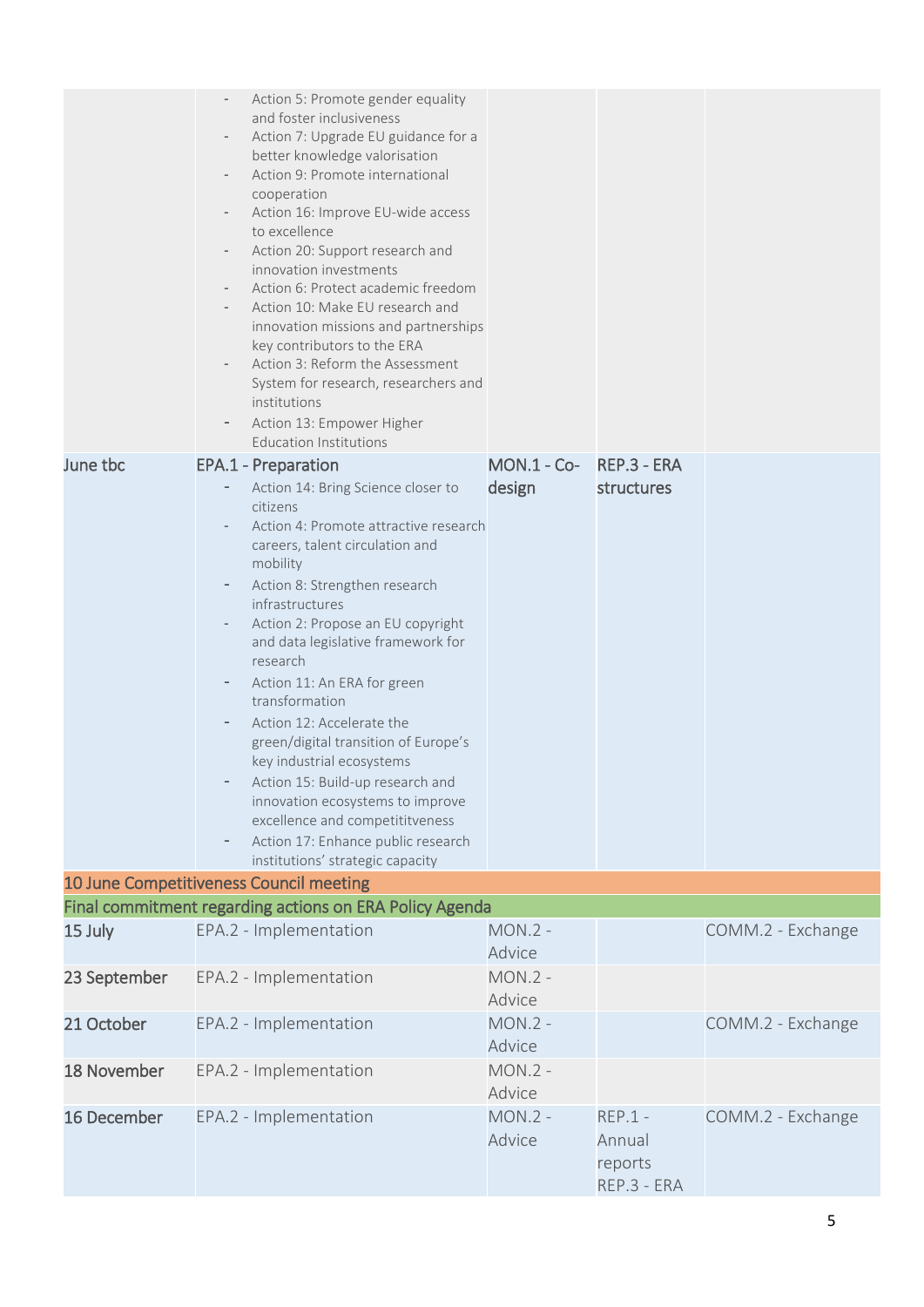| June tbc                                | $\overline{\phantom{a}}$<br>$\overline{\phantom{a}}$<br>$\overline{\phantom{a}}$<br>-<br>-<br>- | Action 5: Promote gender equality<br>and foster inclusiveness<br>Action 7: Upgrade EU guidance for a<br>better knowledge valorisation<br>Action 9: Promote international<br>cooperation<br>Action 16: Improve EU-wide access<br>to excellence<br>Action 20: Support research and<br>innovation investments<br>Action 6: Protect academic freedom<br>Action 10: Make EU research and<br>innovation missions and partnerships<br>key contributors to the ERA<br>Action 3: Reform the Assessment<br>System for research, researchers and<br>institutions<br>Action 13: Empower Higher<br><b>Education Institutions</b><br><b>EPA.1 - Preparation</b><br>Action 14: Bring Science closer to<br>citizens<br>Action 4: Promote attractive research<br>careers, talent circulation and<br>mobility<br>Action 8: Strengthen research<br>infrastructures<br>Action 2: Propose an EU copyright<br>and data legislative framework for<br>research<br>Action 11: An ERA for green<br>transformation<br>Action 12: Accelerate the<br>green/digital transition of Europe's<br>key industrial ecosystems<br>Action 15: Build-up research and<br>innovation ecosystems to improve<br>excellence and competititveness<br>Action 17: Enhance public research<br>institutions' strategic capacity | MON.1 - Co- REP.3 - ERA<br>design | structures                                    |                   |
|-----------------------------------------|-------------------------------------------------------------------------------------------------|--------------------------------------------------------------------------------------------------------------------------------------------------------------------------------------------------------------------------------------------------------------------------------------------------------------------------------------------------------------------------------------------------------------------------------------------------------------------------------------------------------------------------------------------------------------------------------------------------------------------------------------------------------------------------------------------------------------------------------------------------------------------------------------------------------------------------------------------------------------------------------------------------------------------------------------------------------------------------------------------------------------------------------------------------------------------------------------------------------------------------------------------------------------------------------------------------------------------------------------------------------------------------------|-----------------------------------|-----------------------------------------------|-------------------|
| 10 June Competitiveness Council meeting |                                                                                                 |                                                                                                                                                                                                                                                                                                                                                                                                                                                                                                                                                                                                                                                                                                                                                                                                                                                                                                                                                                                                                                                                                                                                                                                                                                                                                |                                   |                                               |                   |
|                                         |                                                                                                 | Final commitment regarding actions on ERA Policy Agenda                                                                                                                                                                                                                                                                                                                                                                                                                                                                                                                                                                                                                                                                                                                                                                                                                                                                                                                                                                                                                                                                                                                                                                                                                        |                                   |                                               |                   |
| 15 July                                 |                                                                                                 | EPA.2 - Implementation                                                                                                                                                                                                                                                                                                                                                                                                                                                                                                                                                                                                                                                                                                                                                                                                                                                                                                                                                                                                                                                                                                                                                                                                                                                         | $MON.2 -$<br>Advice               |                                               | COMM.2 - Exchange |
| 23 September                            |                                                                                                 | EPA.2 - Implementation                                                                                                                                                                                                                                                                                                                                                                                                                                                                                                                                                                                                                                                                                                                                                                                                                                                                                                                                                                                                                                                                                                                                                                                                                                                         | $MON.2 -$<br>Advice               |                                               |                   |
| 21 October                              |                                                                                                 | EPA.2 - Implementation                                                                                                                                                                                                                                                                                                                                                                                                                                                                                                                                                                                                                                                                                                                                                                                                                                                                                                                                                                                                                                                                                                                                                                                                                                                         | $MON.2 -$<br>Advice               |                                               | COMM.2 - Exchange |
| 18 November                             |                                                                                                 | EPA.2 - Implementation                                                                                                                                                                                                                                                                                                                                                                                                                                                                                                                                                                                                                                                                                                                                                                                                                                                                                                                                                                                                                                                                                                                                                                                                                                                         | $MON.2 -$<br>Advice               |                                               |                   |
| 16 December                             |                                                                                                 | EPA.2 - Implementation                                                                                                                                                                                                                                                                                                                                                                                                                                                                                                                                                                                                                                                                                                                                                                                                                                                                                                                                                                                                                                                                                                                                                                                                                                                         | $MON.2 -$<br>Advice               | $REP.1 -$<br>Annual<br>reports<br>REP.3 - ERA | COMM.2 - Exchange |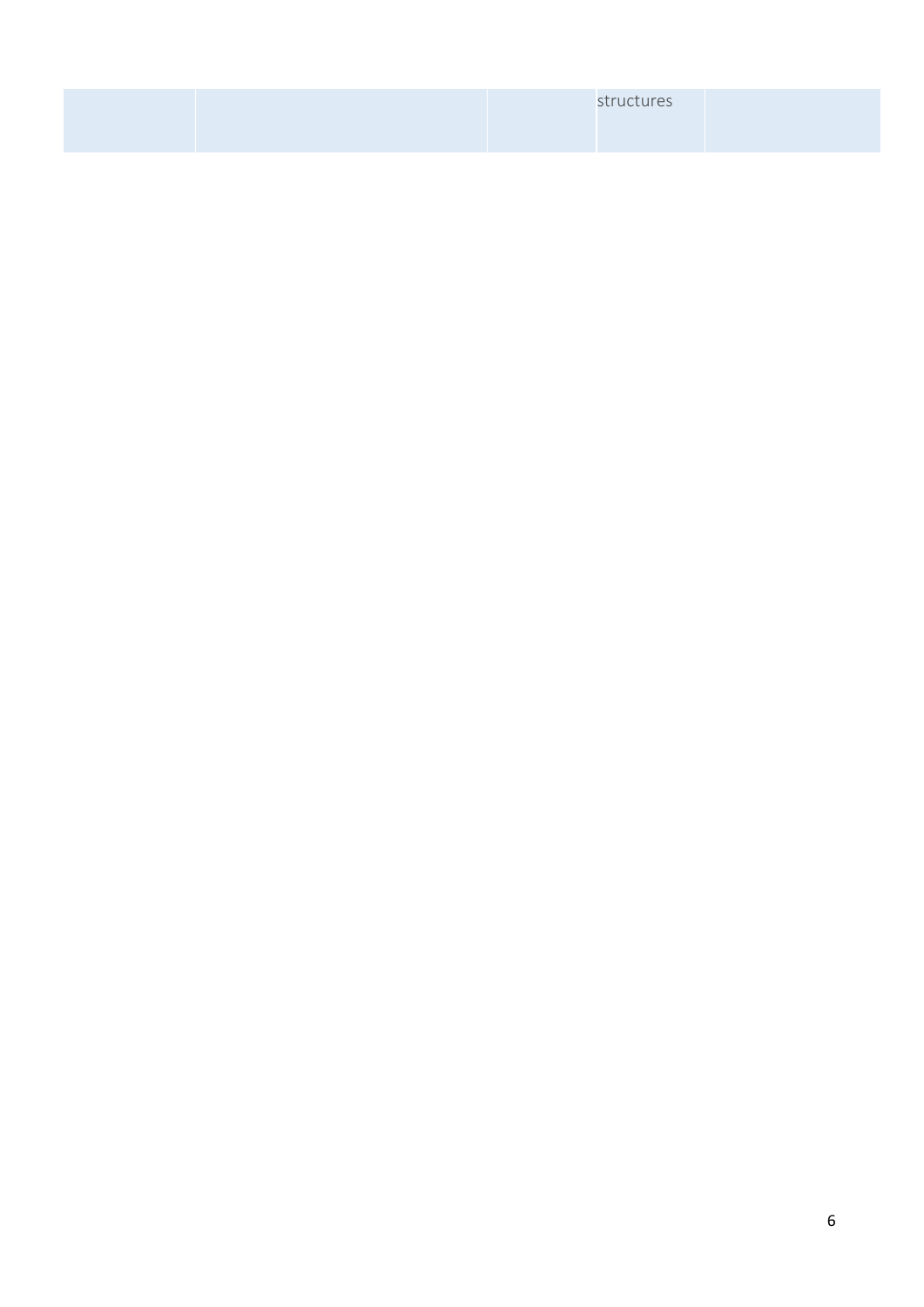|  | structures |  |
|--|------------|--|
|  |            |  |
|  |            |  |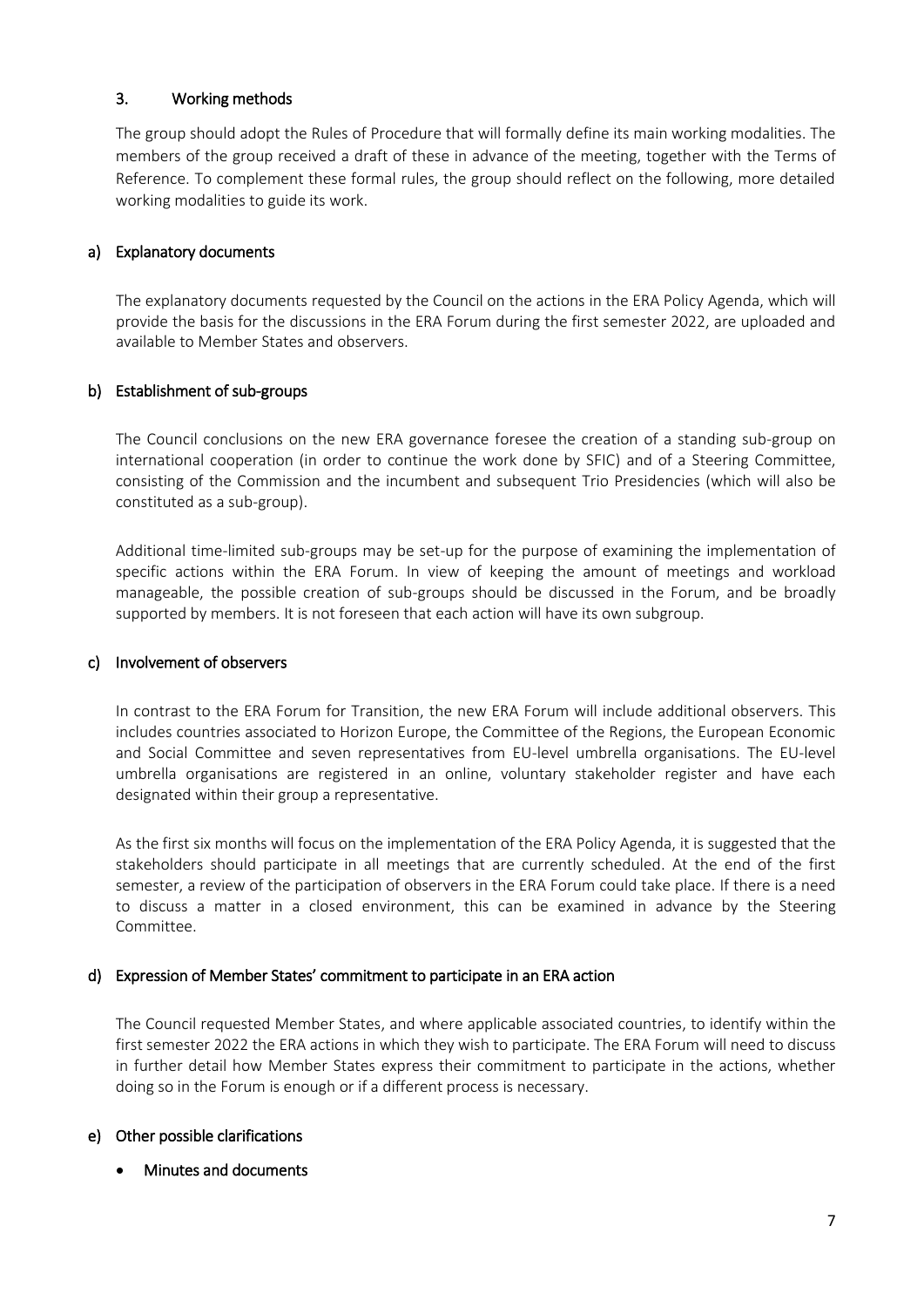### 3. Working methods

The group should adopt the Rules of Procedure that will formally define its main working modalities. The members of the group received a draft of these in advance of the meeting, together with the Terms of Reference. To complement these formal rules, the group should reflect on the following, more detailed working modalities to guide its work.

### a) Explanatory documents

The explanatory documents requested by the Council on the actions in the ERA Policy Agenda, which will provide the basis for the discussions in the ERA Forum during the first semester 2022, are uploaded and available to Member States and observers.

### b) Establishment of sub-groups

The Council conclusions on the new ERA governance foresee the creation of a standing sub-group on international cooperation (in order to continue the work done by SFIC) and of a Steering Committee, consisting of the Commission and the incumbent and subsequent Trio Presidencies (which will also be constituted as a sub-group).

Additional time-limited sub-groups may be set-up for the purpose of examining the implementation of specific actions within the ERA Forum. In view of keeping the amount of meetings and workload manageable, the possible creation of sub-groups should be discussed in the Forum, and be broadly supported by members. It is not foreseen that each action will have its own subgroup.

#### c) Involvement of observers

In contrast to the ERA Forum for Transition, the new ERA Forum will include additional observers. This includes countries associated to Horizon Europe, the Committee of the Regions, the European Economic and Social Committee and seven representatives from EU-level umbrella organisations. The EU-level umbrella organisations are registered in an online, voluntary stakeholder register and have each designated within their group a representative.

As the first six months will focus on the implementation of the ERA Policy Agenda, it is suggested that the stakeholders should participate in all meetings that are currently scheduled. At the end of the first semester, a review of the participation of observers in the ERA Forum could take place. If there is a need to discuss a matter in a closed environment, this can be examined in advance by the Steering Committee.

### d) Expression of Member States' commitment to participate in an ERA action

The Council requested Member States, and where applicable associated countries, to identify within the first semester 2022 the ERA actions in which they wish to participate. The ERA Forum will need to discuss in further detail how Member States express their commitment to participate in the actions, whether doing so in the Forum is enough or if a different process is necessary.

### e) Other possible clarifications

Minutes and documents